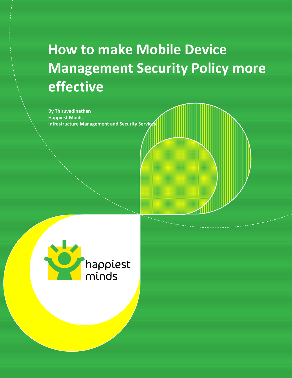# **How to make Mobile Device Management Security Policy more effective**

**By Thiruvadinathan Happiest Minds, Infrastructure Management and Security Service** 

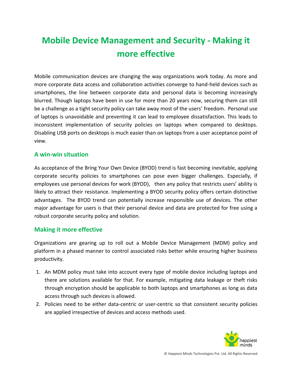# **Mobile Device Management and Security - Making it more effective**

Mobile communication devices are changing the way organizations work today. As more and more corporate data access and collaboration activities converge to hand-held devices such as smartphones, the line between corporate data and personal data is becoming increasingly blurred. Though laptops have been in use for more than 20 years now, securing them can still be a challenge as a tight security policy can take away most of the users' freedom. Personal use of laptops is unavoidable and preventing it can lead to employee dissatisfaction. This leads to inconsistent implementation of security policies on laptops when compared to desktops. Disabling USB ports on desktops is much easier than on laptops from a user acceptance point of view.

### **A win-win situation**

As acceptance of the Bring Your Own Device (BYOD) trend is fast becoming inevitable, applying corporate security policies to smartphones can pose even bigger challenges. Especially, if employees use personal devices for work (BYOD), then any policy that restricts users' ability is likely to attract their resistance. Implementing a BYOD security policy offers certain distinctive advantages. The BYOD trend can potentially increase responsible use of devices. The other major advantage for users is that their personal device and data are protected for free using a robust corporate security policy and solution.

#### **Making it more effective**

Organizations are gearing up to roll out a Mobile Device Management (MDM) policy and platform in a phased manner to control associated risks better while ensuring higher business productivity.

- 1. An MDM policy must take into account every type of mobile device including laptops and there are solutions available for that. For example, mitigating data leakage or theft risks through encryption should be applicable to both laptops and smartphones as long as data access through such devices is allowed.
- 2. Policies need to be either data-centric or user-centric so that consistent security policies are applied irrespective of devices and access methods used.

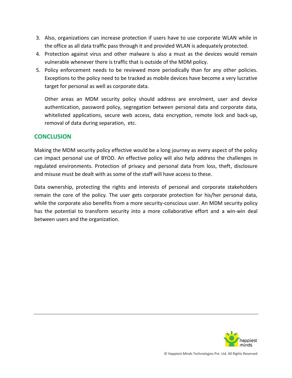- 3. Also, organizations can increase protection if users have to use corporate WLAN while in the office as all data traffic pass through it and provided WLAN is adequately protected.
- 4. Protection against virus and other malware is also a must as the devices would remain vulnerable whenever there is traffic that is outside of the MDM policy.
- 5. Policy enforcement needs to be reviewed more periodically than for any other policies. Exceptions to the policy need to be tracked as mobile devices have become a very lucrative target for personal as well as corporate data.

Other areas an MDM security policy should address are enrolment, user and device authentication, password policy, segregation between personal data and corporate data, whitelisted applications, secure web access, data encryption, remote lock and back-up, removal of data during separation, etc.

#### **CONCLUSION**

Making the MDM security policy effective would be a long journey as every aspect of the policy can impact personal use of BYOD. An effective policy will also help address the challenges in regulated environments. Protection of privacy and personal data from loss, theft, disclosure and misuse must be dealt with as some of the staff will have access to these.

Data ownership, protecting the rights and interests of personal and corporate stakeholders remain the core of the policy. The user gets corporate protection for his/her personal data, while the corporate also benefits from a more security-conscious user. An MDM security policy has the potential to transform security into a more collaborative effort and a win-win deal between users and the organization.